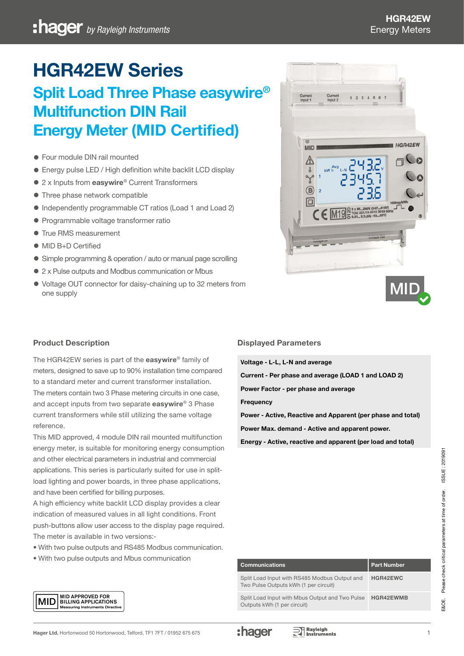# HGR42EW Series

# Split Load Three Phase easywire® Multifunction DIN Rail Energy Meter (MID Certified)

- Four module DIN rail mounted
- Energy pulse LED / High definition white backlit LCD display
- 2 x Inputs from easywire® Current Transformers
- Three phase network compatible
- Independently programmable CT ratios (Load 1 and Load 2)
- Programmable voltage transformer ratio
- **True RMS measurement**
- MID B+D Certified
- Simple programming & operation / auto or manual page scrolling
- 2 x Pulse outputs and Modbus communication or Mbus
- Voltage OUT connector for daisy-chaining up to 32 meters from one supply





# Product Description

The HGR42EW series is part of the easywire® family of meters, designed to save up to 90% installation time compared to a standard meter and current transformer installation. The meters contain two 3 Phase metering circuits in one case, and accept inputs from two separate easywire® 3 Phase current transformers while still utilizing the same voltage reference.

This MID approved, 4 module DIN rail mounted multifunction energy meter, is suitable for monitoring energy consumption and other electrical parameters in industrial and commercial applications. This series is particularly suited for use in splitload lighting and power boards, in three phase applications, and have been certified for billing purposes.

A high efficiency white backlit LCD display provides a clear indication of measured values in all light conditions. Front push-buttons allow user access to the display page required. The meter is available in two versions:-

- With two pulse outputs and RS485 Modbus communication.
- With two pulse outputs and Mbus communication

#### Displayed Parameters

Voltage - L-L, L-N and average Current - Per phase and average (LOAD 1 and LOAD 2) Power Factor - per phase and average **Frequency** Power - Active, Reactive and Apparent (per phase and total) Power Max. demand - Active and apparent power.

Energy - Active, reactive and apparent (per load and total)

| <b>Communications</b>                                                                  | <b>Part Number</b> |
|----------------------------------------------------------------------------------------|--------------------|
| Split Load Input with RS485 Modbus Output and<br>Two Pulse Outputs kWh (1 per circuit) | HGR42EWC           |
| Split Load Input with Mbus Output and Two Pulse<br>Outputs kWh (1 per circuit)         | <b>HGR42EWMB</b>   |

E&OE. Please check critical parameters at time of order. ISSUE : 2019091

Please check critical parameters at time of order.

 $300E$ 

ISSUE: 2019091

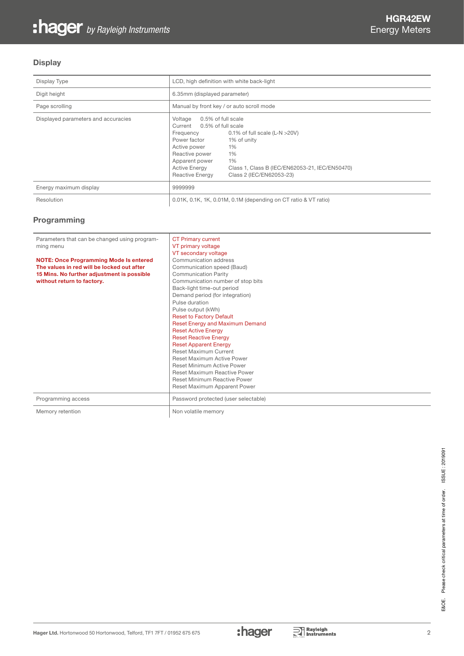# **Display**

| Display Type                        | LCD, high definition with white back-light                                                                                                                                                     |                                                                                                                                                 |
|-------------------------------------|------------------------------------------------------------------------------------------------------------------------------------------------------------------------------------------------|-------------------------------------------------------------------------------------------------------------------------------------------------|
| Digit height                        | 6.35mm (displayed parameter)                                                                                                                                                                   |                                                                                                                                                 |
| Page scrolling                      | Manual by front key / or auto scroll mode                                                                                                                                                      |                                                                                                                                                 |
| Displayed parameters and accuracies | 0.5% of full scale<br>Voltage<br>Current 0.5% of full scale<br>Frequency<br>Power factor<br>Active power<br>Reactive power<br>Apparent power<br><b>Active Energy</b><br><b>Reactive Energy</b> | 0.1% of full scale $(L-N > 20V)$<br>1% of unity<br>1%<br>1%<br>1%<br>Class 1, Class B (IEC/EN62053-21, IEC/EN50470)<br>Class 2 (IEC/EN62053-23) |
| Energy maximum display              | 9999999                                                                                                                                                                                        |                                                                                                                                                 |
| Resolution                          |                                                                                                                                                                                                | 0.01K, 0.1K, 1K, 0.01M, 0.1M (depending on CT ratio & VT ratio)                                                                                 |

#### Programming

| Parameters that can be changed using program-<br>ming menu<br><b>NOTE: Once Programming Mode Is entered</b><br>The values in red will be locked out after<br>15 Mins. No further adjustment is possible<br>without return to factory. | <b>CT Primary current</b><br>VT primary voltage<br>VT secondary voltage<br>Communication address<br>Communication speed (Baud)<br><b>Communication Parity</b><br>Communication number of stop bits<br>Back-light time-out period<br>Demand period (for integration)<br>Pulse duration<br>Pulse output (kWh)<br><b>Reset to Factory Default</b><br>Reset Energy and Maximum Demand<br><b>Reset Active Energy</b><br><b>Reset Reactive Energy</b><br><b>Reset Apparent Energy</b><br><b>Reset Maximum Current</b><br>Reset Maximum Active Power<br><b>Reset Minimum Active Power</b><br><b>Reset Maximum Reactive Power</b><br><b>Reset Minimum Reactive Power</b> |
|---------------------------------------------------------------------------------------------------------------------------------------------------------------------------------------------------------------------------------------|------------------------------------------------------------------------------------------------------------------------------------------------------------------------------------------------------------------------------------------------------------------------------------------------------------------------------------------------------------------------------------------------------------------------------------------------------------------------------------------------------------------------------------------------------------------------------------------------------------------------------------------------------------------|
|                                                                                                                                                                                                                                       | Reset Maximum Apparent Power                                                                                                                                                                                                                                                                                                                                                                                                                                                                                                                                                                                                                                     |
| Programming access                                                                                                                                                                                                                    | Password protected (user selectable)                                                                                                                                                                                                                                                                                                                                                                                                                                                                                                                                                                                                                             |
| Memory retention                                                                                                                                                                                                                      | Non volatile memory                                                                                                                                                                                                                                                                                                                                                                                                                                                                                                                                                                                                                                              |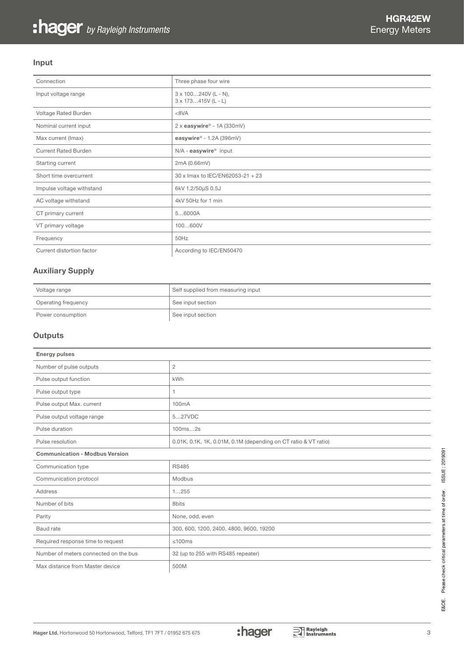#### Input

| Connection                  | Three phase four wire                              |
|-----------------------------|----------------------------------------------------|
| Input voltage range         | $3 \times 100240V$ (L - N),<br>3 x 173415V (L - L) |
| Voltage Rated Burden        | <8VA                                               |
| Nominal current input       | 2 x easywire® - 1A (330mV)                         |
| Max current (Imax)          | easywire® - 1.2A (396mV)                           |
| <b>Current Rated Burden</b> | N/A - easywire <sup>®</sup> input                  |
| Starting current            | 2mA (0.66mV)                                       |
| Short time overcurrent      | 30 x Imax to IEC/EN62053-21 + 23                   |
| Impulse voltage withstand   | 6kV 1.2/50µS 0.5J                                  |
| AC voltage withstand        | 4kV 50Hz for 1 min                                 |
| CT primary current          | 56000A                                             |
| VT primary voltage          | 100600V                                            |
| Frequency                   | 50Hz                                               |
| Current distortion factor   | According to IEC/EN50470                           |

#### Auxiliary Supply

| Voltage range       | Self supplied from measuring input |
|---------------------|------------------------------------|
| Operating frequency | See input section                  |
| Power consumption   | See input section                  |

#### **Outputs**

| <b>Energy pulses</b>                  |                                                                 |
|---------------------------------------|-----------------------------------------------------------------|
| Number of pulse outputs               | $\overline{c}$                                                  |
| Pulse output function                 | kWh                                                             |
| Pulse output type                     | 1                                                               |
| Pulse output Max. current             | 100 <sub>m</sub> A                                              |
| Pulse output voltage range            | 527VDC                                                          |
| Pulse duration                        | 100ms2s                                                         |
| Pulse resolution                      | 0.01K, 0.1K, 1K, 0.01M, 0.1M (depending on CT ratio & VT ratio) |
| <b>Communication - Modbus Version</b> |                                                                 |
| Communication type                    | <b>RS485</b>                                                    |
| Communication protocol                | Modbus                                                          |
| Address                               | 1255                                                            |
| Number of bits                        | 8bits                                                           |
| Parity                                | None, odd, even                                                 |
| Baud rate                             | 300, 600, 1200, 2400, 4800, 9600, 19200                         |
| Required response time to request     | $≤100ms$                                                        |
| Number of meters connected on the bus | 32 (up to 255 with RS485 repeater)                              |
| Max distance from Master device       | 500M                                                            |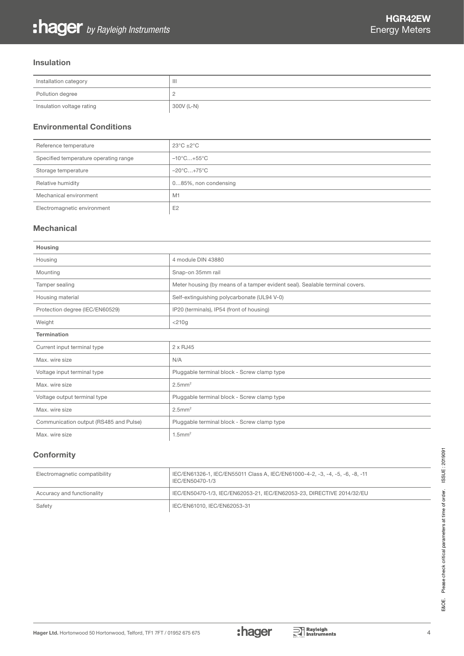#### Insulation

| Installation category     | $\mathbf{  }$ |
|---------------------------|---------------|
| Pollution degree          | ←             |
| Insulation voltage rating | 300V (L-N)    |

# Environmental Conditions

| Reference temperature                 | $23^{\circ}$ C $+2^{\circ}$ C   |
|---------------------------------------|---------------------------------|
| Specified temperature operating range | $-10^{\circ}$ C+55 $^{\circ}$ C |
| Storage temperature                   | $-20^{\circ}$ C+75 $^{\circ}$ C |
| Relative humidity                     | 085%, non condensing            |
| Mechanical environment                | M                               |
| Electromagnetic environment           | E <sub>2</sub>                  |

### Mechanical

| Housing                                |                                                                              |
|----------------------------------------|------------------------------------------------------------------------------|
| Housing                                | 4 module DIN 43880                                                           |
| Mounting                               | Snap-on 35mm rail                                                            |
| Tamper sealing                         | Meter housing (by means of a tamper evident seal). Sealable terminal covers. |
| Housing material                       | Self-extinguishing polycarbonate (UL94 V-0)                                  |
| Protection degree (IEC/EN60529)        | IP20 (terminals), IP54 (front of housing)                                    |
| Weight                                 | $<$ 210g                                                                     |
| <b>Termination</b>                     |                                                                              |
| Current input terminal type            | $2 \times$ RJ45                                                              |
| Max, wire size                         | N/A                                                                          |
| Voltage input terminal type            | Pluggable terminal block - Screw clamp type                                  |
| Max. wire size                         | $2.5$ mm <sup>2</sup>                                                        |
| Voltage output terminal type           | Pluggable terminal block - Screw clamp type                                  |
| Max. wire size                         | $2.5$ mm <sup>2</sup>                                                        |
| Communication output (RS485 and Pulse) | Pluggable terminal block - Screw clamp type                                  |
| Max. wire size                         | $1.5$ mm <sup>2</sup>                                                        |

# **Conformity**

| Electromagnetic compatibility | IEC/EN61326-1, IEC/EN55011 Class A, IEC/EN61000-4-2, -3, -4, -5, -6, -8, -11<br>IEC/EN50470-1/3 |
|-------------------------------|-------------------------------------------------------------------------------------------------|
| Accuracy and functionality    | IEC/EN50470-1/3, IEC/EN62053-21, IEC/EN62053-23, DIRECTIVE 2014/32/EU                           |
| Safety                        | IEC/EN61010, IEC/EN62053-31                                                                     |